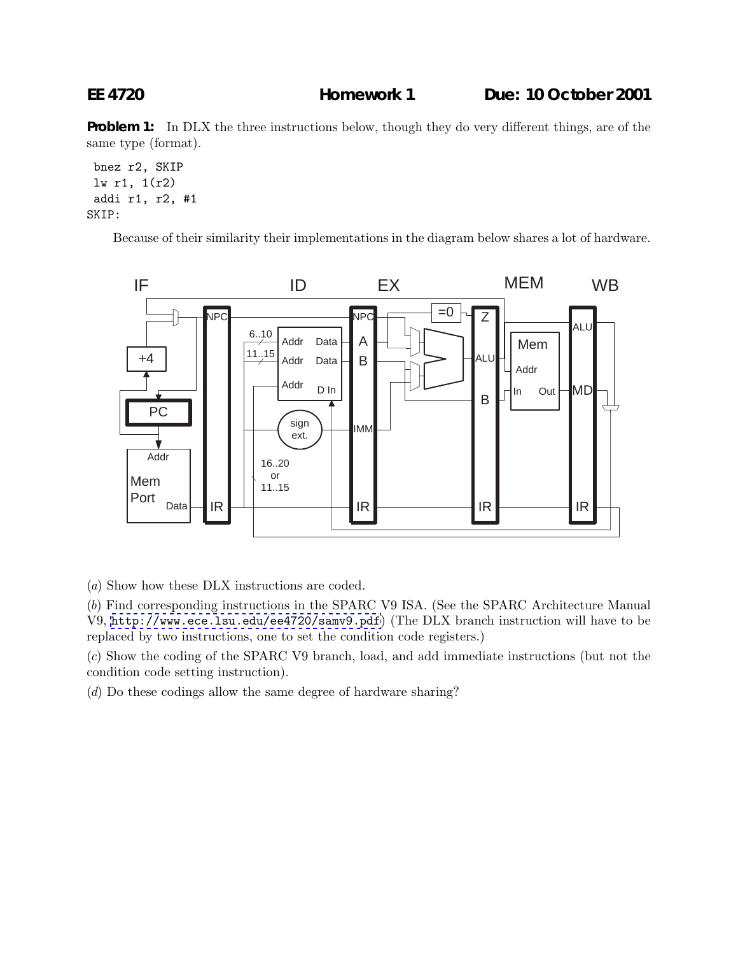**EE 4720 Homework 1 Due: 10 October 2001**

**Problem 1:** In DLX the three instructions below, though they do very different things, are of the same type (format).

bnez r2, SKIP lw r1, 1(r2) addi r1, r2, #1 SKIP:

Because of their similarity their implementations in the diagram below shares a lot of hardware.



(a) Show how these DLX instructions are coded.

(b) Find corresponding instructions in the SPARC V9 ISA. (See the SPARC Architecture Manual V9, <http://www.ece.lsu.edu/ee4720/samv9.pdf>) (The DLX branch instruction will have to be replaced by two instructions, one to set the condition code registers.)

(c) Show the coding of the SPARC V9 branch, load, and add immediate instructions (but not the condition code setting instruction).

(d) Do these codings allow the same degree of hardware sharing?